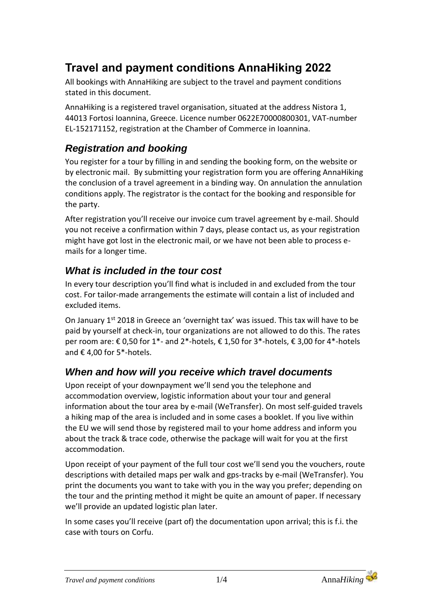# **Travel and payment conditions AnnaHiking 2022**

All bookings with AnnaHiking are subject to the travel and payment conditions stated in this document.

AnnaHiking is a registered travel organisation, situated at the address Nistora 1, 44013 Fortosi Ioannina, Greece. Licence number 0622E70000800301, VAT-number EL-152171152, registration at the Chamber of Commerce in Ioannina.

### *Registration and booking*

You register for a tour by filling in and sending the booking form, on the website or by electronic mail. By submitting your registration form you are offering AnnaHiking the conclusion of a travel agreement in a binding way. On annulation the annulation conditions apply. The registrator is the contact for the booking and responsible for the party.

After registration you'll receive our invoice cum travel agreement by e-mail. Should you not receive a confirmation within 7 days, please contact us, as your registration might have got lost in the electronic mail, or we have not been able to process emails for a longer time.

### *What is included in the tour cost*

In every tour description you'll find what is included in and excluded from the tour cost. For tailor-made arrangements the estimate will contain a list of included and excluded items.

On January 1st 2018 in Greece an 'overnight tax' was issued. This tax will have to be paid by yourself at check-in, tour organizations are not allowed to do this. The rates per room are: € 0,50 for 1\*- and 2\*-hotels, € 1,50 for 3\*-hotels, € 3,00 for 4\*-hotels and € 4,00 for 5\*-hotels.

#### *When and how will you receive which travel documents*

Upon receipt of your downpayment we'll send you the telephone and accommodation overview, logistic information about your tour and general information about the tour area by e-mail (WeTransfer). On most self-guided travels a hiking map of the area is included and in some cases a booklet. If you live within the EU we will send those by registered mail to your home address and inform you about the track & trace code, otherwise the package will wait for you at the first accommodation.

Upon receipt of your payment of the full tour cost we'll send you the vouchers, route descriptions with detailed maps per walk and gps-tracks by e-mail (WeTransfer). You print the documents you want to take with you in the way you prefer; depending on the tour and the printing method it might be quite an amount of paper. If necessary we'll provide an updated logistic plan later.

In some cases you'll receive (part of) the documentation upon arrival; this is f.i. the case with tours on Corfu.

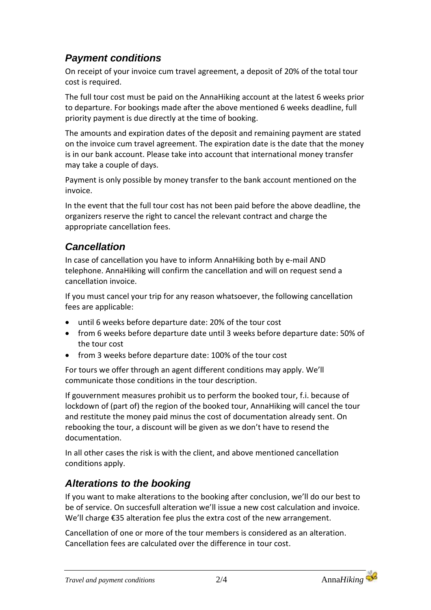## *Payment conditions*

On receipt of your invoice cum travel agreement, a deposit of 20% of the total tour cost is required.

The full tour cost must be paid on the AnnaHiking account at the latest 6 weeks prior to departure. For bookings made after the above mentioned 6 weeks deadline, full priority payment is due directly at the time of booking.

The amounts and expiration dates of the deposit and remaining payment are stated on the invoice cum travel agreement. The expiration date is the date that the money is in our bank account. Please take into account that international money transfer may take a couple of days.

Payment is only possible by money transfer to the bank account mentioned on the invoice.

In the event that the full tour cost has not been paid before the above deadline, the organizers reserve the right to cancel the relevant contract and charge the appropriate cancellation fees.

### *Cancellation*

In case of cancellation you have to inform AnnaHiking both by e-mail AND telephone. AnnaHiking will confirm the cancellation and will on request send a cancellation invoice.

If you must cancel your trip for any reason whatsoever, the following cancellation fees are applicable:

- until 6 weeks before departure date: 20% of the tour cost
- from 6 weeks before departure date until 3 weeks before departure date: 50% of the tour cost
- from 3 weeks before departure date: 100% of the tour cost

For tours we offer through an agent different conditions may apply. We'll communicate those conditions in the tour description.

If gouvernment measures prohibit us to perform the booked tour, f.i. because of lockdown of (part of) the region of the booked tour, AnnaHiking will cancel the tour and restitute the money paid minus the cost of documentation already sent. On rebooking the tour, a discount will be given as we don't have to resend the documentation.

In all other cases the risk is with the client, and above mentioned cancellation conditions apply.

## *Alterations to the booking*

If you want to make alterations to the booking after conclusion, we'll do our best to be of service. On succesfull alteration we'll issue a new cost calculation and invoice. We'll charge €35 alteration fee plus the extra cost of the new arrangement.

Cancellation of one or more of the tour members is considered as an alteration. Cancellation fees are calculated over the difference in tour cost.

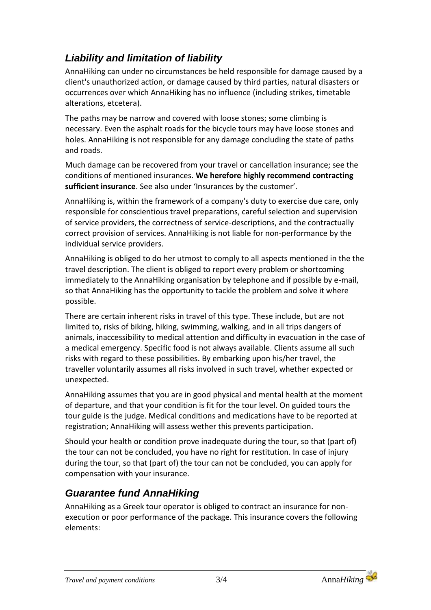# *Liability and limitation of liability*

AnnaHiking can under no circumstances be held responsible for damage caused by a client's unauthorized action, or damage caused by third parties, natural disasters or occurrences over which AnnaHiking has no influence (including strikes, timetable alterations, etcetera).

The paths may be narrow and covered with loose stones; some climbing is necessary. Even the asphalt roads for the bicycle tours may have loose stones and holes. AnnaHiking is not responsible for any damage concluding the state of paths and roads.

Much damage can be recovered from your travel or cancellation insurance; see the conditions of mentioned insurances. **We herefore highly recommend contracting sufficient insurance**. See also under 'Insurances by the customer'.

AnnaHiking is, within the framework of a company's duty to exercise due care, only responsible for conscientious travel preparations, careful selection and supervision of service providers, the correctness of service-descriptions, and the contractually correct provision of services. AnnaHiking is not liable for non-performance by the individual service providers.

AnnaHiking is obliged to do her utmost to comply to all aspects mentioned in the the travel description. The client is obliged to report every problem or shortcoming immediately to the AnnaHiking organisation by telephone and if possible by e-mail, so that AnnaHiking has the opportunity to tackle the problem and solve it where possible.

There are certain inherent risks in travel of this type. These include, but are not limited to, risks of biking, hiking, swimming, walking, and in all trips dangers of animals, inaccessibility to medical attention and difficulty in evacuation in the case of a medical emergency. Specific food is not always available. Clients assume all such risks with regard to these possibilities. By embarking upon his/her travel, the traveller voluntarily assumes all risks involved in such travel, whether expected or unexpected.

AnnaHiking assumes that you are in good physical and mental health at the moment of departure, and that your condition is fit for the tour level. On guided tours the tour guide is the judge. Medical conditions and medications have to be reported at registration; AnnaHiking will assess wether this prevents participation.

Should your health or condition prove inadequate during the tour, so that (part of) the tour can not be concluded, you have no right for restitution. In case of injury during the tour, so that (part of) the tour can not be concluded, you can apply for compensation with your insurance.

## *Guarantee fund AnnaHiking*

AnnaHiking as a Greek tour operator is obliged to contract an insurance for nonexecution or poor performance of the package. This insurance covers the following elements: